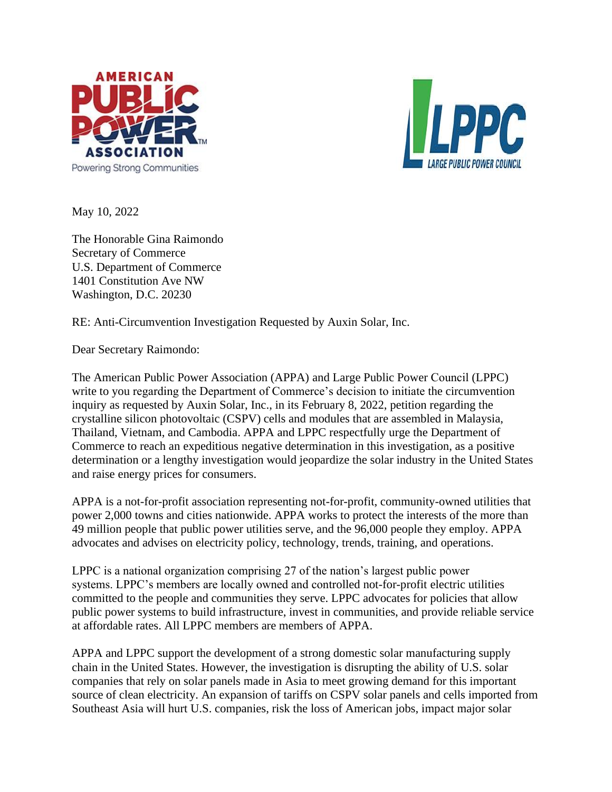



May 10, 2022

The Honorable Gina Raimondo Secretary of Commerce U.S. Department of Commerce 1401 Constitution Ave NW Washington, D.C. 20230

RE: Anti-Circumvention Investigation Requested by Auxin Solar, Inc.

Dear Secretary Raimondo:

The American Public Power Association (APPA) and Large Public Power Council (LPPC) write to you regarding the Department of Commerce's decision to initiate the circumvention inquiry as requested by Auxin Solar, Inc., in its February 8, 2022, petition regarding the crystalline silicon photovoltaic (CSPV) cells and modules that are assembled in Malaysia, Thailand, Vietnam, and Cambodia. APPA and LPPC respectfully urge the Department of Commerce to reach an expeditious negative determination in this investigation, as a positive determination or a lengthy investigation would jeopardize the solar industry in the United States and raise energy prices for consumers.

APPA is a not-for-profit association representing not-for-profit, community-owned utilities that power 2,000 towns and cities nationwide. APPA works to protect the interests of the more than 49 million people that public power utilities serve, and the 96,000 people they employ. APPA advocates and advises on electricity policy, technology, trends, training, and operations.

LPPC is a national organization comprising 27 of the nation's largest public power systems. LPPC's members are locally owned and controlled not-for-profit electric utilities committed to the people and communities they serve. LPPC advocates for policies that allow public power systems to build infrastructure, invest in communities, and provide reliable service at affordable rates. All LPPC members are members of APPA.

APPA and LPPC support the development of a strong domestic solar manufacturing supply chain in the United States. However, the investigation is disrupting the ability of U.S. solar companies that rely on solar panels made in Asia to meet growing demand for this important source of clean electricity. An expansion of tariffs on CSPV solar panels and cells imported from Southeast Asia will hurt U.S. companies, risk the loss of American jobs, impact major solar